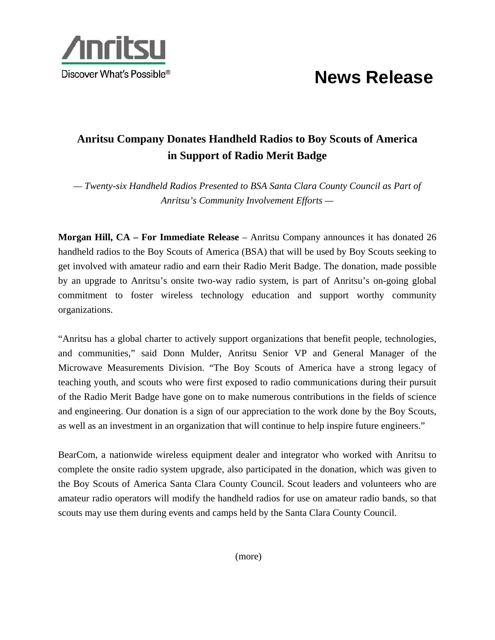



## **Anritsu Company Donates Handheld Radios to Boy Scouts of America in Support of Radio Merit Badge**

*— Twenty-six Handheld Radios Presented to BSA Santa Clara County Council as Part of Anritsu's Community Involvement Efforts —* 

**Morgan Hill, CA – For Immediate Release** – Anritsu Company announces it has donated 26 handheld radios to the Boy Scouts of America (BSA) that will be used by Boy Scouts seeking to get involved with amateur radio and earn their Radio Merit Badge. The donation, made possible by an upgrade to Anritsu's onsite two-way radio system, is part of Anritsu's on-going global commitment to foster wireless technology education and support worthy community organizations.

"Anritsu has a global charter to actively support organizations that benefit people, technologies, and communities," said Donn Mulder, Anritsu Senior VP and General Manager of the Microwave Measurements Division. "The Boy Scouts of America have a strong legacy of teaching youth, and scouts who were first exposed to radio communications during their pursuit of the Radio Merit Badge have gone on to make numerous contributions in the fields of science and engineering. Our donation is a sign of our appreciation to the work done by the Boy Scouts, as well as an investment in an organization that will continue to help inspire future engineers."

BearCom, a nationwide wireless equipment dealer and integrator who worked with Anritsu to complete the onsite radio system upgrade, also participated in the donation, which was given to the Boy Scouts of America Santa Clara County Council. Scout leaders and volunteers who are amateur radio operators will modify the handheld radios for use on amateur radio bands, so that scouts may use them during events and camps held by the Santa Clara County Council.